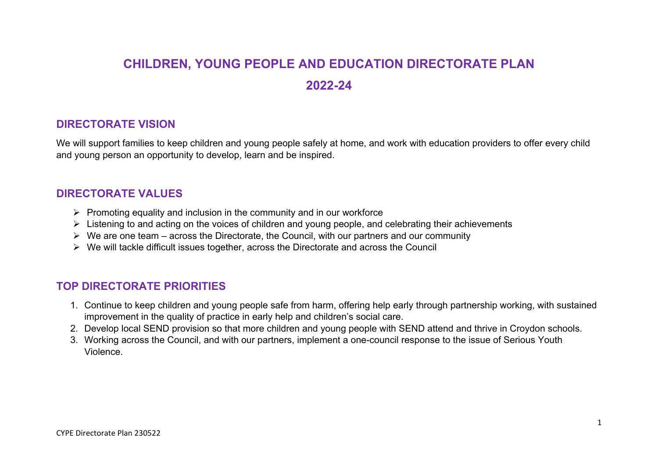# **CHILDREN, YOUNG PEOPLE AND EDUCATION DIRECTORATE PLAN 2022-24**

## **DIRECTORATE VISION**

We will support families to keep children and young people safely at home, and work with education providers to offer every child and young person an opportunity to develop, learn and be inspired.

## **DIRECTORATE VALUES**

- $\triangleright$  Promoting equality and inclusion in the community and in our workforce
- $\triangleright$  Listening to and acting on the voices of children and young people, and celebrating their achievements
- $\triangleright$  We are one team across the Directorate, the Council, with our partners and our community
- $\triangleright$  We will tackle difficult issues together, across the Directorate and across the Council

# **TOP DIRECTORATE PRIORITIES**

- 1. Continue to keep children and young people safe from harm, offering help early through partnership working, with sustained improvement in the quality of practice in early help and children's social care.
- 2. Develop local SEND provision so that more children and young people with SEND attend and thrive in Croydon schools.
- 3. Working across the Council, and with our partners, implement a one-council response to the issue of Serious Youth Violence.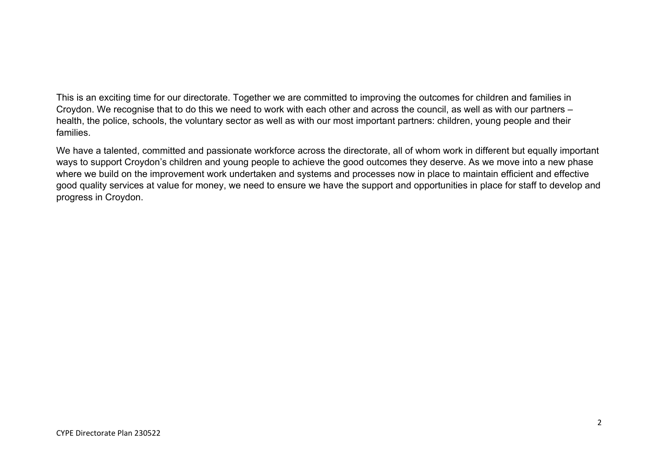This is an exciting time for our directorate. Together we are committed to improving the outcomes for children and families in Croydon. We recognise that to do this we need to work with each other and across the council, as well as with our partners – health, the police, schools, the voluntary sector as well as with our most important partners: children, young people and their families.

We have a talented, committed and passionate workforce across the directorate, all of whom work in different but equally important ways to support Croydon's children and young people to achieve the good outcomes they deserve. As we move into a new phase where we build on the improvement work undertaken and systems and processes now in place to maintain efficient and effective good quality services at value for money, we need to ensure we have the support and opportunities in place for staff to develop and progress in Croydon.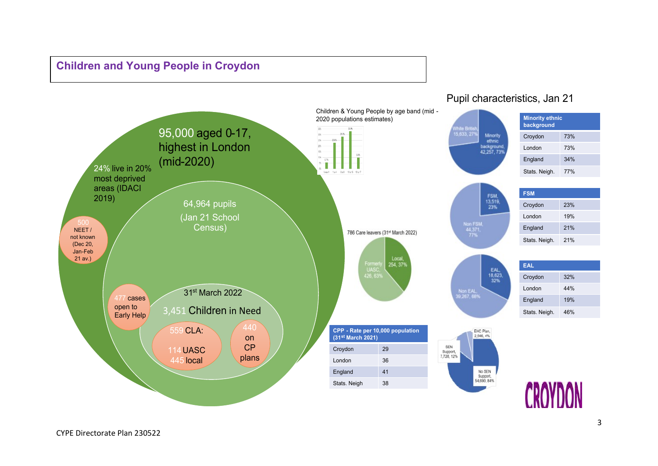# **Children and Young People in Croydon**



## Pupil characteristics, Jan 21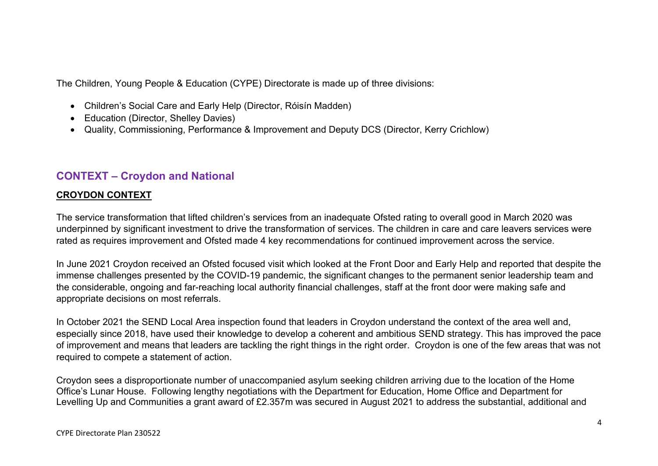The Children, Young People & Education (CYPE) Directorate is made up of three divisions:

- Children's Social Care and Early Help (Director, Róisín Madden)
- Education (Director, Shelley Davies)
- Quality, Commissioning, Performance & Improvement and Deputy DCS (Director, Kerry Crichlow)

# **CONTEXT – Croydon and National**

## **CROYDON CONTEXT**

The service transformation that lifted children's services from an inadequate Ofsted rating to overall good in March 2020 was underpinned by significant investment to drive the transformation of services. The children in care and care leavers services were rated as requires improvement and Ofsted made 4 key recommendations for continued improvement across the service.

In June 2021 Croydon received an Ofsted focused visit which looked at the Front Door and Early Help and reported that despite the immense challenges presented by the COVID-19 pandemic, the significant changes to the permanent senior leadership team and the considerable, ongoing and far-reaching local authority financial challenges, staff at the front door were making safe and appropriate decisions on most referrals.

In October 2021 the SEND Local Area inspection found that leaders in Croydon understand the context of the area well and, especially since 2018, have used their knowledge to develop a coherent and ambitious SEND strategy. This has improved the pace of improvement and means that leaders are tackling the right things in the right order. Croydon is one of the few areas that was not required to compete a statement of action.

Croydon sees a disproportionate number of unaccompanied asylum seeking children arriving due to the location of the Home Office's Lunar House. Following lengthy negotiations with the Department for Education, Home Office and Department for Levelling Up and Communities a grant award of £2.357m was secured in August 2021 to address the substantial, additional and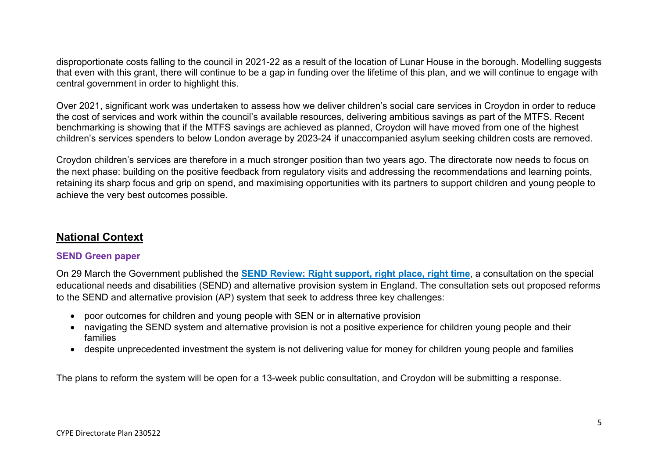disproportionate costs falling to the council in 2021-22 as a result of the location of Lunar House in the borough. Modelling suggests that even with this grant, there will continue to be a gap in funding over the lifetime of this plan, and we will continue to engage with central government in order to highlight this.

Over 2021, significant work was undertaken to assess how we deliver children's social care services in Croydon in order to reduce the cost of services and work within the council's available resources, delivering ambitious savings as part of the MTFS. Recent benchmarking is showing that if the MTFS savings are achieved as planned, Croydon will have moved from one of the highest children's services spenders to below London average by 2023-24 if unaccompanied asylum seeking children costs are removed.

Croydon children's services are therefore in a much stronger position than two years ago. The directorate now needs to focus on the next phase: building on the positive feedback from regulatory visits and addressing the recommendations and learning points, retaining its sharp focus and grip on spend, and maximising opportunities with its partners to support children and young people to achieve the very best outcomes possible**.**

# **National Context**

#### **SEND Green paper**

On 29 March the Government published the **SEND Review: Right [support,](https://www.gov.uk/government/consultations/send-review-right-support-right-place-right-time) right place, right time**, a consultation on the special educational needs and disabilities (SEND) and alternative provision system in England. The consultation sets out proposed reforms to the SEND and alternative provision (AP) system that seek to address three key challenges:

- poor outcomes for children and young people with SEN or in alternative provision
- navigating the SEND system and alternative provision is not a positive experience for children young people and their families
- despite unprecedented investment the system is not delivering value for money for children young people and families

The plans to reform the system will be open for a 13-week public consultation, and Croydon will be submitting a response.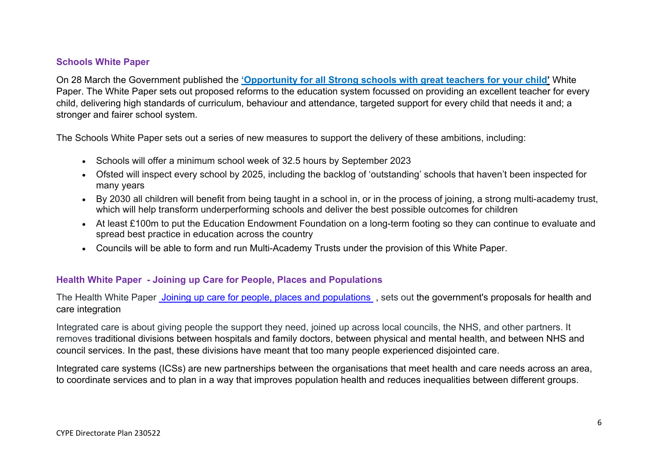#### **Schools White Paper**

On 28 March the Government published the **['Opportunity](https://www.gov.uk/government/publications/opportunity-for-all-strong-schools-with-great-teachers-for-your-child) for all Strong schools with great teachers for your child'** White Paper. The White Paper sets out proposed reforms to the education system focussed on providing an excellent teacher for every child, delivering high standards of curriculum, behaviour and attendance, targeted support for every child that needs it and; a stronger and fairer school system.

The Schools White Paper sets out a series of new measures to support the delivery of these ambitions, including:

- Schools will offer a minimum school week of 32.5 hours by September 2023
- Ofsted will inspect every school by 2025, including the backlog of 'outstanding' schools that haven't been inspected for many years
- By 2030 all children will benefit from being taught in a school in, or in the process of joining, a strong multi-academy trust, which will help transform underperforming schools and deliver the best possible outcomes for children
- At least £100m to put the Education Endowment Foundation on a long-term footing so they can continue to evaluate and spread best practice in education across the country
- Councils will be able to form and run Multi-Academy Trusts under the provision of this White Paper.

#### **Health White Paper - Joining up Care for People, Places and Populations**

The Health White Paper Joining up care for people, places and [populations](https://assets.publishing.service.gov.uk/government/uploads/system/uploads/attachment_data/file/1055687/joining-up-care-for-people-places-and-populations-web-accessible.pdf) , sets out the government's proposals for health and care integration

Integrated care is about giving people the support they need, joined up across local councils, the NHS, and other partners. It removes traditional divisions between hospitals and family doctors, between physical and mental health, and between NHS and council services. In the past, these divisions have meant that too many people experienced disjointed care.

Integrated care systems (ICSs) are new partnerships between the organisations that meet health and care needs across an area, to coordinate services and to plan in a way that improves population health and reduces inequalities between different groups.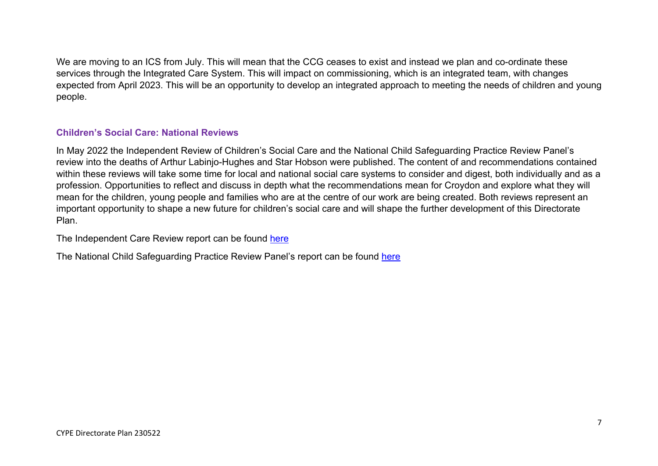We are moving to an ICS from July. This will mean that the CCG ceases to exist and instead we plan and co-ordinate these services through the Integrated Care System. This will impact on commissioning, which is an integrated team, with changes expected from April 2023. This will be an opportunity to develop an integrated approach to meeting the needs of children and young people.

#### **Children's Social Care: National Reviews**

In May 2022 the Independent Review of Children's Social Care and the National Child Safeguarding Practice Review Panel's review into the deaths of Arthur Labinjo-Hughes and Star Hobson were published. The content of and recommendations contained within these reviews will take some time for local and national social care systems to consider and digest, both individually and as a profession. Opportunities to reflect and discuss in depth what the recommendations mean for Croydon and explore what they will mean for the children, young people and families who are at the centre of our work are being created. Both reviews represent an important opportunity to shape a new future for children's social care and will shape the further development of this Directorate Plan.

The Independent Care Review report can be found [here](https://childrenssocialcare.independent-review.uk/final-report/)

The National Child Safeguarding Practice Review Panel's report can be found [here](https://assets.publishing.service.gov.uk/government/uploads/system/uploads/attachment_data/file/1078488/ALH_SH_National_Review_26-5-22.pdf)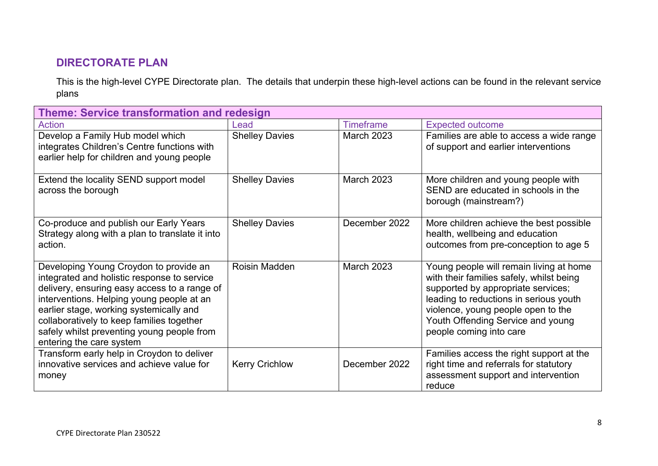# **DIRECTORATE PLAN**

This is the high-level CYPE Directorate plan. The details that underpin these high-level actions can be found in the relevant service plans

| <b>Theme: Service transformation and redesign</b>                                                                                                                                                                                                                                                                                                    |                       |                   |                                                                                                                                                                                                                                                                           |  |
|------------------------------------------------------------------------------------------------------------------------------------------------------------------------------------------------------------------------------------------------------------------------------------------------------------------------------------------------------|-----------------------|-------------------|---------------------------------------------------------------------------------------------------------------------------------------------------------------------------------------------------------------------------------------------------------------------------|--|
| Action                                                                                                                                                                                                                                                                                                                                               | Lead                  | <b>Timeframe</b>  | <b>Expected outcome</b>                                                                                                                                                                                                                                                   |  |
| Develop a Family Hub model which<br>integrates Children's Centre functions with<br>earlier help for children and young people                                                                                                                                                                                                                        | <b>Shelley Davies</b> | <b>March 2023</b> | Families are able to access a wide range<br>of support and earlier interventions                                                                                                                                                                                          |  |
| Extend the locality SEND support model<br>across the borough                                                                                                                                                                                                                                                                                         | <b>Shelley Davies</b> | <b>March 2023</b> | More children and young people with<br>SEND are educated in schools in the<br>borough (mainstream?)                                                                                                                                                                       |  |
| Co-produce and publish our Early Years<br>Strategy along with a plan to translate it into<br>action.                                                                                                                                                                                                                                                 | <b>Shelley Davies</b> | December 2022     | More children achieve the best possible<br>health, wellbeing and education<br>outcomes from pre-conception to age 5                                                                                                                                                       |  |
| Developing Young Croydon to provide an<br>integrated and holistic response to service<br>delivery, ensuring easy access to a range of<br>interventions. Helping young people at an<br>earlier stage, working systemically and<br>collaboratively to keep families together<br>safely whilst preventing young people from<br>entering the care system | Roisin Madden         | <b>March 2023</b> | Young people will remain living at home<br>with their families safely, whilst being<br>supported by appropriate services;<br>leading to reductions in serious youth<br>violence, young people open to the<br>Youth Offending Service and young<br>people coming into care |  |
| Transform early help in Croydon to deliver<br>innovative services and achieve value for<br>money                                                                                                                                                                                                                                                     | <b>Kerry Crichlow</b> | December 2022     | Families access the right support at the<br>right time and referrals for statutory<br>assessment support and intervention<br>reduce                                                                                                                                       |  |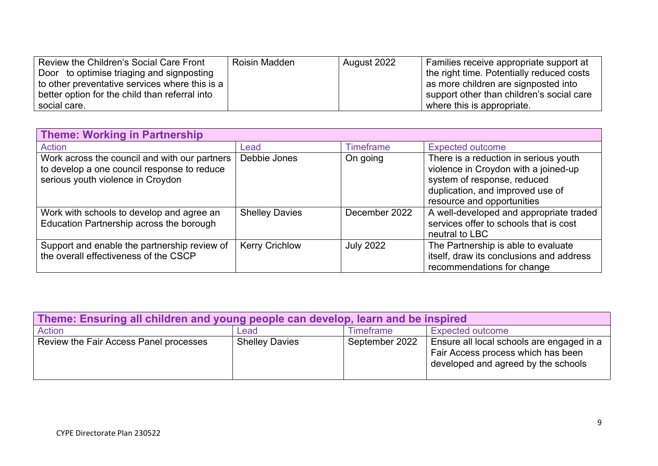| Review the Children's Social Care Front            | Roisin Madden | August 2022 | Families receive appropriate support at   |
|----------------------------------------------------|---------------|-------------|-------------------------------------------|
| Door to optimise triaging and signposting          |               |             | the right time. Potentially reduced costs |
| to other preventative services where this is a $ $ |               |             | as more children are signposted into      |
| better option for the child than referral into     |               |             | support other than children's social care |
| social care.                                       |               |             | where this is appropriate.                |

| <b>Theme: Working in Partnership</b>                                                                                              |                       |                  |                                                                                                                                                                                |  |
|-----------------------------------------------------------------------------------------------------------------------------------|-----------------------|------------------|--------------------------------------------------------------------------------------------------------------------------------------------------------------------------------|--|
| <b>Action</b>                                                                                                                     | Lead                  | <b>Timeframe</b> | <b>Expected outcome</b>                                                                                                                                                        |  |
| Work across the council and with our partners<br>to develop a one council response to reduce<br>serious youth violence in Croydon | Debbie Jones          | On going         | There is a reduction in serious youth<br>violence in Croydon with a joined-up<br>system of response, reduced<br>duplication, and improved use of<br>resource and opportunities |  |
| Work with schools to develop and agree an<br>Education Partnership across the borough                                             | <b>Shelley Davies</b> | December 2022    | A well-developed and appropriate traded<br>services offer to schools that is cost<br>neutral to LBC                                                                            |  |
| Support and enable the partnership review of<br>the overall effectiveness of the CSCP                                             | <b>Kerry Crichlow</b> | <b>July 2022</b> | The Partnership is able to evaluate<br>itself, draw its conclusions and address<br>recommendations for change                                                                  |  |

| Theme: Ensuring all children and young people can develop, learn and be inspired |                                              |                |                                                                                                                        |  |  |
|----------------------------------------------------------------------------------|----------------------------------------------|----------------|------------------------------------------------------------------------------------------------------------------------|--|--|
| Action                                                                           | <b>Expected outcome</b><br>Timeframe<br>Lead |                |                                                                                                                        |  |  |
| Review the Fair Access Panel processes                                           | <b>Shelley Davies</b>                        | September 2022 | Ensure all local schools are engaged in a<br>Fair Access process which has been<br>developed and agreed by the schools |  |  |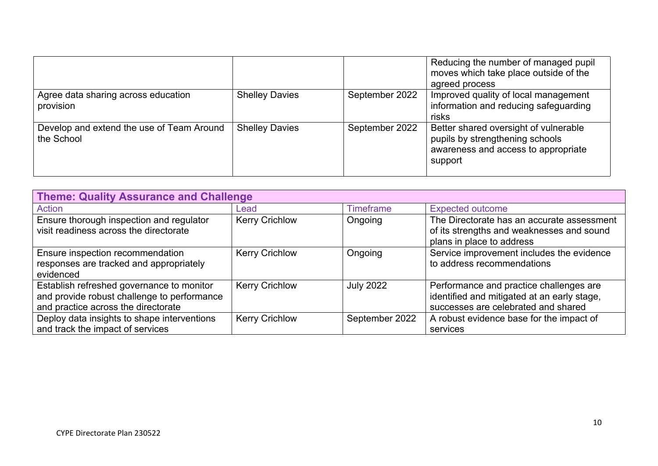|                                                         |                       |                | Reducing the number of managed pupil<br>moves which take place outside of the<br>agreed process                            |
|---------------------------------------------------------|-----------------------|----------------|----------------------------------------------------------------------------------------------------------------------------|
| Agree data sharing across education<br>provision        | <b>Shelley Davies</b> | September 2022 | Improved quality of local management<br>information and reducing safeguarding<br>risks                                     |
| Develop and extend the use of Team Around<br>the School | <b>Shelley Davies</b> | September 2022 | Better shared oversight of vulnerable<br>pupils by strengthening schools<br>awareness and access to appropriate<br>support |

| <b>Theme: Quality Assurance and Challenge</b>                                                                                   |                       |                  |                                                                                                                               |  |
|---------------------------------------------------------------------------------------------------------------------------------|-----------------------|------------------|-------------------------------------------------------------------------------------------------------------------------------|--|
| Action                                                                                                                          | Lead                  | <b>Timeframe</b> | <b>Expected outcome</b>                                                                                                       |  |
| Ensure thorough inspection and regulator<br>visit readiness across the directorate                                              | <b>Kerry Crichlow</b> | Ongoing          | The Directorate has an accurate assessment<br>of its strengths and weaknesses and sound<br>plans in place to address          |  |
| Ensure inspection recommendation<br>responses are tracked and appropriately<br>evidenced                                        | <b>Kerry Crichlow</b> | Ongoing          | Service improvement includes the evidence<br>to address recommendations                                                       |  |
| Establish refreshed governance to monitor<br>and provide robust challenge to performance<br>and practice across the directorate | <b>Kerry Crichlow</b> | <b>July 2022</b> | Performance and practice challenges are<br>identified and mitigated at an early stage,<br>successes are celebrated and shared |  |
| Deploy data insights to shape interventions<br>and track the impact of services                                                 | <b>Kerry Crichlow</b> | September 2022   | A robust evidence base for the impact of<br>services                                                                          |  |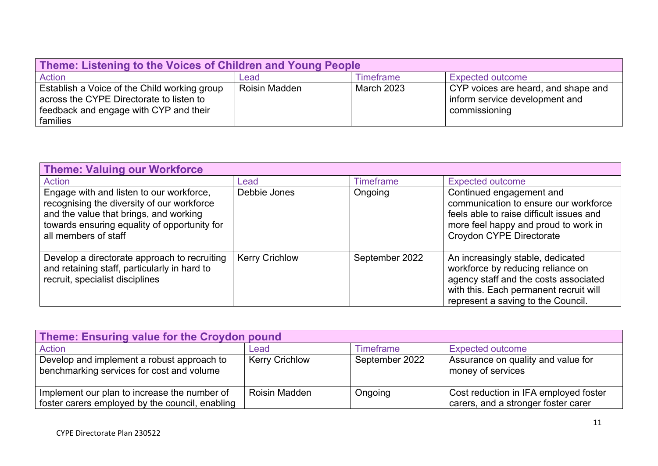| Theme: Listening to the Voices of Children and Young People                                                                                    |               |                  |                                                                                        |  |
|------------------------------------------------------------------------------------------------------------------------------------------------|---------------|------------------|----------------------------------------------------------------------------------------|--|
| Action                                                                                                                                         | Lead          | <b>Timeframe</b> | <b>Expected outcome</b>                                                                |  |
| Establish a Voice of the Child working group<br>across the CYPE Directorate to listen to<br>feedback and engage with CYP and their<br>families | Roisin Madden | March 2023       | CYP voices are heard, and shape and<br>inform service development and<br>commissioning |  |

| <b>Theme: Valuing our Workforce</b>                                                                                                                                                                      |                       |                  |                                                                                                                                                                                                 |  |
|----------------------------------------------------------------------------------------------------------------------------------------------------------------------------------------------------------|-----------------------|------------------|-------------------------------------------------------------------------------------------------------------------------------------------------------------------------------------------------|--|
| <b>Action</b>                                                                                                                                                                                            | Lead                  | <b>Timeframe</b> | <b>Expected outcome</b>                                                                                                                                                                         |  |
| Engage with and listen to our workforce,<br>recognising the diversity of our workforce<br>and the value that brings, and working<br>towards ensuring equality of opportunity for<br>all members of staff | Debbie Jones          | Ongoing          | Continued engagement and<br>communication to ensure our workforce<br>feels able to raise difficult issues and<br>more feel happy and proud to work in<br><b>Croydon CYPE Directorate</b>        |  |
| Develop a directorate approach to recruiting<br>and retaining staff, particularly in hard to<br>recruit, specialist disciplines                                                                          | <b>Kerry Crichlow</b> | September 2022   | An increasingly stable, dedicated<br>workforce by reducing reliance on<br>agency staff and the costs associated<br>with this. Each permanent recruit will<br>represent a saving to the Council. |  |

| Theme: Ensuring value for the Croydon pound                                                     |                       |                  |                                                                              |  |
|-------------------------------------------------------------------------------------------------|-----------------------|------------------|------------------------------------------------------------------------------|--|
| Action                                                                                          | Lead                  | <b>Timeframe</b> | <b>Expected outcome</b>                                                      |  |
| Develop and implement a robust approach to<br>benchmarking services for cost and volume         | <b>Kerry Crichlow</b> | September 2022   | Assurance on quality and value for<br>money of services                      |  |
| Implement our plan to increase the number of<br>foster carers employed by the council, enabling | Roisin Madden         | Ongoing          | Cost reduction in IFA employed foster<br>carers, and a stronger foster carer |  |